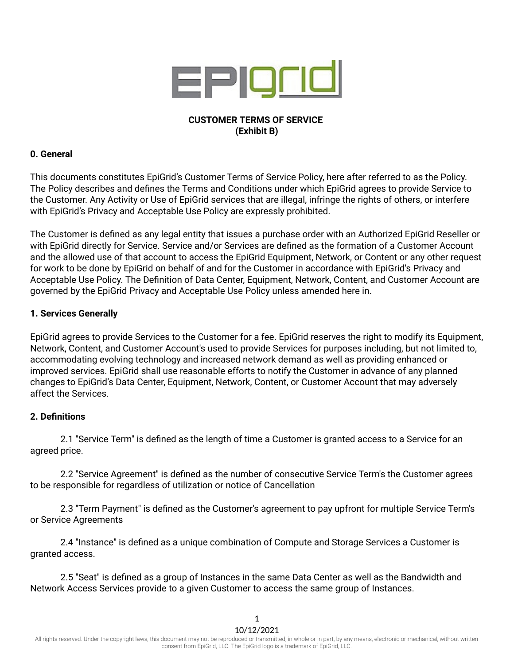

# **CUSTOMER TERMS OF SERVICE (Exhibit B)**

## **0. General**

This documents constitutes EpiGrid's Customer Terms of Service Policy, here after referred to as the Policy. The Policy describes and defines the Terms and Conditions under which EpiGrid agrees to provide Service to the Customer. Any Activity or Use of EpiGrid services that are illegal, infringe the rights of others, or interfere with EpiGrid's Privacy and Acceptable Use Policy are expressly prohibited.

The Customer is defined as any legal entity that issues a purchase order with an Authorized EpiGrid Reseller or with EpiGrid directly for Service. Service and/or Services are defined as the formation of a Customer Account and the allowed use of that account to access the EpiGrid Equipment, Network, or Content or any other request for work to be done by EpiGrid on behalf of and for the Customer in accordance with EpiGrid's Privacy and Acceptable Use Policy. The Definition of Data Center, Equipment, Network, Content, and Customer Account are governed by the EpiGrid Privacy and Acceptable Use Policy unless amended here in.

## **1. Services Generally**

EpiGrid agrees to provide Services to the Customer for a fee. EpiGrid reserves the right to modify its Equipment, Network, Content, and Customer Account's used to provide Services for purposes including, but not limited to, accommodating evolving technology and increased network demand as well as providing enhanced or improved services. EpiGrid shall use reasonable efforts to notify the Customer in advance of any planned changes to EpiGrid's Data Center, Equipment, Network, Content, or Customer Account that may adversely affect the Services.

#### **2. Definitions**

2.1 "Service Term" is defined as the length of time a Customer is granted access to a Service for an agreed price.

2.2 "Service Agreement" is defined as the number of consecutive Service Term's the Customer agrees to be responsible for regardless of utilization or notice of Cancellation

2.3 "Term Payment" is defined as the Customer's agreement to pay upfront for multiple Service Term's or Service Agreements

2.4 "Instance" is defined as a unique combination of Compute and Storage Services a Customer is granted access.

2.5 "Seat" is defined as a group of Instances in the same Data Center as well as the Bandwidth and Network Access Services provide to a given Customer to access the same group of Instances.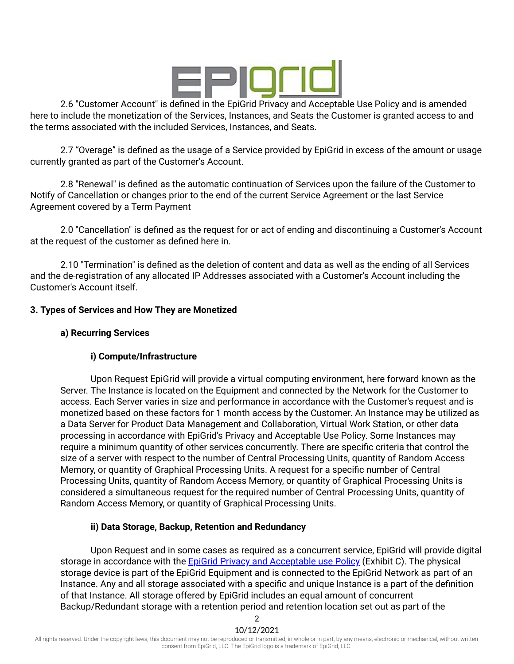

2.6 "Customer Account" is defined in the EpiGrid Privacy and Acceptable Use Policy and is amended here to include the monetization of the Services, Instances, and Seats the Customer is granted access to and the terms associated with the included Services, Instances, and Seats.

2.7 "Overage" is defined as the usage of a Service provided by EpiGrid in excess of the amount or usage currently granted as part of the Customer's Account.

2.8 "Renewal" is defined as the automatic continuation of Services upon the failure of the Customer to Notify of Cancellation or changes prior to the end of the current Service Agreement or the last Service Agreement covered by a Term Payment

2.0 "Cancellation" is defined as the request for or act of ending and discontinuing a Customer's Account at the request of the customer as defined here in.

2.10 "Termination" is defined as the deletion of content and data as well as the ending of all Services and the de-registration of any allocated IP Addresses associated with a Customer's Account including the Customer's Account itself.

## **3. Types of Services and How They are Monetized**

### **a) Recurring Services**

## **i) Compute/Infrastructure**

Upon Request EpiGrid will provide a virtual computing environment, here forward known as the Server. The Instance is located on the Equipment and connected by the Network for the Customer to access. Each Server varies in size and performance in accordance with the Customer's request and is monetized based on these factors for 1 month access by the Customer. An Instance may be utilized as a Data Server for Product Data Management and Collaboration, Virtual Work Station, or other data processing in accordance with EpiGrid's Privacy and Acceptable Use Policy. Some Instances may require a minimum quantity of other services concurrently. There are specific criteria that control the size of a server with respect to the number of Central Processing Units, quantity of Random Access Memory, or quantity of Graphical Processing Units. A request for a specific number of Central Processing Units, quantity of Random Access Memory, or quantity of Graphical Processing Units is considered a simultaneous request for the required number of Central Processing Units, quantity of Random Access Memory, or quantity of Graphical Processing Units.

#### **ii) Data Storage, Backup, Retention and Redundancy**

Upon Request and in some cases as required as a concurrent service, EpiGrid will provide digital storage in accordance with the EpiGrid Privacy and [Acceptable](https://www.epigrid.com/legal) use Policy (Exhibit C). The physical storage device is part of the EpiGrid Equipment and is connected to the EpiGrid Network as part of an Instance. Any and all storage associated with a specific and unique Instance is a part of the definition of that Instance. All storage offered by EpiGrid includes an equal amount of concurrent Backup/Redundant storage with a retention period and retention location set out as part of the

2 10/12/2021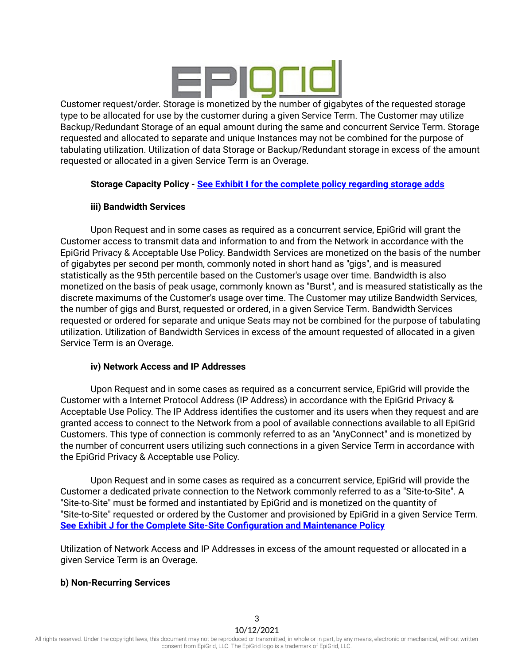

Customer request/order. Storage is monetized by the number of gigabytes of the requested storage type to be allocated for use by the customer during a given Service Term. The Customer may utilize Backup/Redundant Storage of an equal amount during the same and concurrent Service Term. Storage requested and allocated to separate and unique Instances may not be combined for the purpose of tabulating utilization. Utilization of data Storage or Backup/Redundant storage in excess of the amount requested or allocated in a given Service Term is an Overage.

## **Storage Capacity Policy - See Exhibit I for the complete policy [regarding](https://www.epigrid.com/legal) storage adds**

## **iii) Bandwidth Services**

Upon Request and in some cases as required as a concurrent service, EpiGrid will grant the Customer access to transmit data and information to and from the Network in accordance with the EpiGrid Privacy & Acceptable Use Policy. Bandwidth Services are monetized on the basis of the number of gigabytes per second per month, commonly noted in short hand as "gigs", and is measured statistically as the 95th percentile based on the Customer's usage over time. Bandwidth is also monetized on the basis of peak usage, commonly known as "Burst", and is measured statistically as the discrete maximums of the Customer's usage over time. The Customer may utilize Bandwidth Services, the number of gigs and Burst, requested or ordered, in a given Service Term. Bandwidth Services requested or ordered for separate and unique Seats may not be combined for the purpose of tabulating utilization. Utilization of Bandwidth Services in excess of the amount requested of allocated in a given Service Term is an Overage.

#### **iv) Network Access and IP Addresses**

Upon Request and in some cases as required as a concurrent service, EpiGrid will provide the Customer with a Internet Protocol Address (IP Address) in accordance with the EpiGrid Privacy & Acceptable Use Policy. The IP Address identifies the customer and its users when they request and are granted access to connect to the Network from a pool of available connections available to all EpiGrid Customers. This type of connection is commonly referred to as an "AnyConnect" and is monetized by the number of concurrent users utilizing such connections in a given Service Term in accordance with the EpiGrid Privacy & Acceptable use Policy.

Upon Request and in some cases as required as a concurrent service, EpiGrid will provide the Customer a dedicated private connection to the Network commonly referred to as a "Site-to-Site". A "Site-to-Site" must be formed and instantiated by EpiGrid and is monetized on the quantity of "Site-to-Site" requested or ordered by the Customer and provisioned by EpiGrid in a given Service Term. **See Exhibit J for the Complete Site-Site [Configuration](https://www.epigrid.com/legal) and Maintenance Policy**

Utilization of Network Access and IP Addresses in excess of the amount requested or allocated in a given Service Term is an Overage.

#### **b) Non-Recurring Services**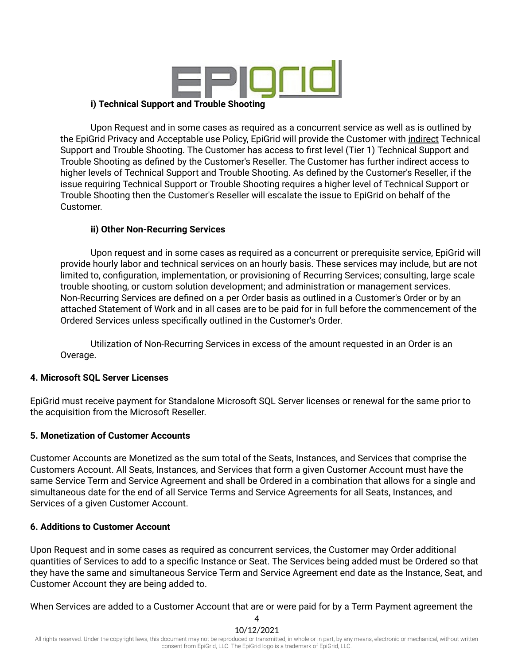

#### **i) Technical Support and Trouble Shooting**

Upon Request and in some cases as required as a concurrent service as well as is outlined by the EpiGrid Privacy and Acceptable use Policy, EpiGrid will provide the Customer with indirect Technical Support and Trouble Shooting. The Customer has access to first level (Tier 1) Technical Support and Trouble Shooting as defined by the Customer's Reseller. The Customer has further indirect access to higher levels of Technical Support and Trouble Shooting. As defined by the Customer's Reseller, if the issue requiring Technical Support or Trouble Shooting requires a higher level of Technical Support or Trouble Shooting then the Customer's Reseller will escalate the issue to EpiGrid on behalf of the Customer.

#### **ii) Other Non-Recurring Services**

Upon request and in some cases as required as a concurrent or prerequisite service, EpiGrid will provide hourly labor and technical services on an hourly basis. These services may include, but are not limited to, configuration, implementation, or provisioning of Recurring Services; consulting, large scale trouble shooting, or custom solution development; and administration or management services. Non-Recurring Services are defined on a per Order basis as outlined in a Customer's Order or by an attached Statement of Work and in all cases are to be paid for in full before the commencement of the Ordered Services unless specifically outlined in the Customer's Order.

Utilization of Non-Recurring Services in excess of the amount requested in an Order is an Overage.

#### **4. Microsoft SQL Server Licenses**

EpiGrid must receive payment for Standalone Microsoft SQL Server licenses or renewal for the same prior to the acquisition from the Microsoft Reseller.

#### **5. Monetization of Customer Accounts**

Customer Accounts are Monetized as the sum total of the Seats, Instances, and Services that comprise the Customers Account. All Seats, Instances, and Services that form a given Customer Account must have the same Service Term and Service Agreement and shall be Ordered in a combination that allows for a single and simultaneous date for the end of all Service Terms and Service Agreements for all Seats, Instances, and Services of a given Customer Account.

#### **6. Additions to Customer Account**

Upon Request and in some cases as required as concurrent services, the Customer may Order additional quantities of Services to add to a specific Instance or Seat. The Services being added must be Ordered so that they have the same and simultaneous Service Term and Service Agreement end date as the Instance, Seat, and Customer Account they are being added to.

When Services are added to a Customer Account that are or were paid for by a Term Payment agreement the

All rights reserved. Under the copyright laws, this document may not be reproduced or transmitted, in whole or in part, by any means, electronic or mechanical, without written consent from EpiGrid, LLC. The EpiGrid logo is a trademark of EpiGrid, LLC.

4 10/12/2021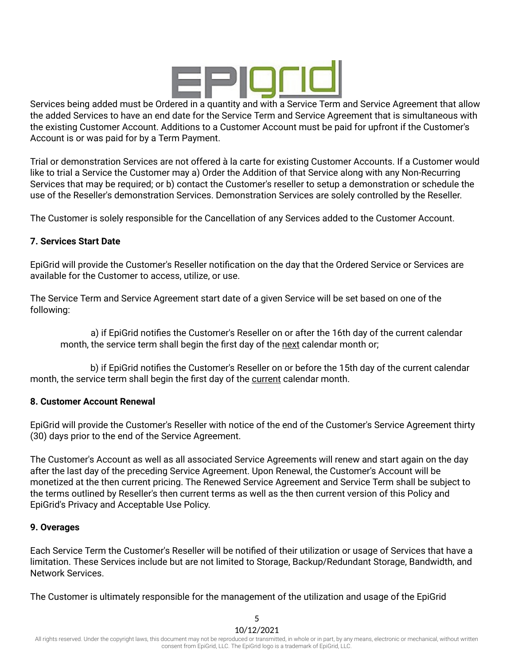

Services being added must be Ordered in a quantity and with a Service Term and Service Agreement that allow the added Services to have an end date for the Service Term and Service Agreement that is simultaneous with the existing Customer Account. Additions to a Customer Account must be paid for upfront if the Customer's Account is or was paid for by a Term Payment.

Trial or demonstration Services are not offered à la carte for existing Customer Accounts. If a Customer would like to trial a Service the Customer may a) Order the Addition of that Service along with any Non-Recurring Services that may be required; or b) contact the Customer's reseller to setup a demonstration or schedule the use of the Reseller's demonstration Services. Demonstration Services are solely controlled by the Reseller.

The Customer is solely responsible for the Cancellation of any Services added to the Customer Account.

## **7. Services Start Date**

EpiGrid will provide the Customer's Reseller notification on the day that the Ordered Service or Services are available for the Customer to access, utilize, or use.

The Service Term and Service Agreement start date of a given Service will be set based on one of the following:

a) if EpiGrid notifies the Customer's Reseller on or after the 16th day of the current calendar month, the service term shall begin the first day of the next calendar month or;

b) if EpiGrid notifies the Customer's Reseller on or before the 15th day of the current calendar month, the service term shall begin the first day of the current calendar month.

#### **8. Customer Account Renewal**

EpiGrid will provide the Customer's Reseller with notice of the end of the Customer's Service Agreement thirty (30) days prior to the end of the Service Agreement.

The Customer's Account as well as all associated Service Agreements will renew and start again on the day after the last day of the preceding Service Agreement. Upon Renewal, the Customer's Account will be monetized at the then current pricing. The Renewed Service Agreement and Service Term shall be subject to the terms outlined by Reseller's then current terms as well as the then current version of this Policy and EpiGrid's Privacy and Acceptable Use Policy.

#### **9. Overages**

Each Service Term the Customer's Reseller will be notified of their utilization or usage of Services that have a limitation. These Services include but are not limited to Storage, Backup/Redundant Storage, Bandwidth, and Network Services.

The Customer is ultimately responsible for the management of the utilization and usage of the EpiGrid

5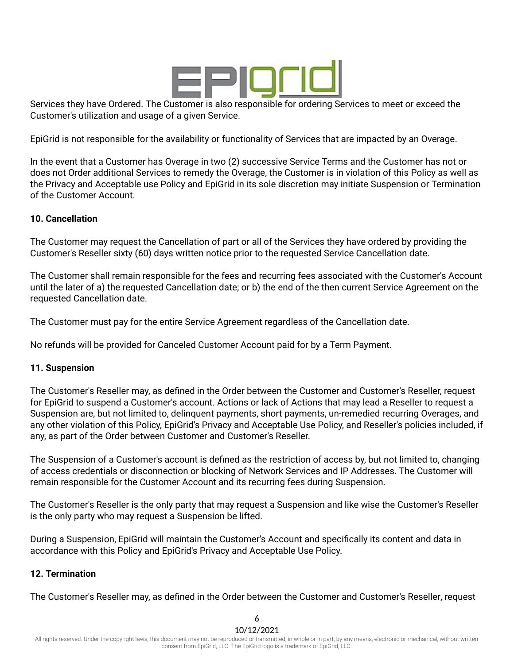

Services they have Ordered. The Customer is also responsible for ordering Services to meet or exceed the Customer's utilization and usage of a given Service.

EpiGrid is not responsible for the availability or functionality of Services that are impacted by an Overage.

In the event that a Customer has Overage in two (2) successive Service Terms and the Customer has not or does not Order additional Services to remedy the Overage, the Customer is in violation of this Policy as well as the Privacy and Acceptable use Policy and EpiGrid in its sole discretion may initiate Suspension or Termination of the Customer Account.

#### **10. Cancellation**

The Customer may request the Cancellation of part or all of the Services they have ordered by providing the Customer's Reseller sixty (60) days written notice prior to the requested Service Cancellation date.

The Customer shall remain responsible for the fees and recurring fees associated with the Customer's Account until the later of a) the requested Cancellation date; or b) the end of the then current Service Agreement on the requested Cancellation date.

The Customer must pay for the entire Service Agreement regardless of the Cancellation date.

No refunds will be provided for Canceled Customer Account paid for by a Term Payment.

#### **11. Suspension**

The Customer's Reseller may, as defined in the Order between the Customer and Customer's Reseller, request for EpiGrid to suspend a Customer's account. Actions or lack of Actions that may lead a Reseller to request a Suspension are, but not limited to, delinquent payments, short payments, un-remedied recurring Overages, and any other violation of this Policy, EpiGrid's Privacy and Acceptable Use Policy, and Reseller's policies included, if any, as part of the Order between Customer and Customer's Reseller.

The Suspension of a Customer's account is defined as the restriction of access by, but not limited to, changing of access credentials or disconnection or blocking of Network Services and IP Addresses. The Customer will remain responsible for the Customer Account and its recurring fees during Suspension.

The Customer's Reseller is the only party that may request a Suspension and like wise the Customer's Reseller is the only party who may request a Suspension be lifted.

During a Suspension, EpiGrid will maintain the Customer's Account and specifically its content and data in accordance with this Policy and EpiGrid's Privacy and Acceptable Use Policy.

## **12. Termination**

The Customer's Reseller may, as defined in the Order between the Customer and Customer's Reseller, request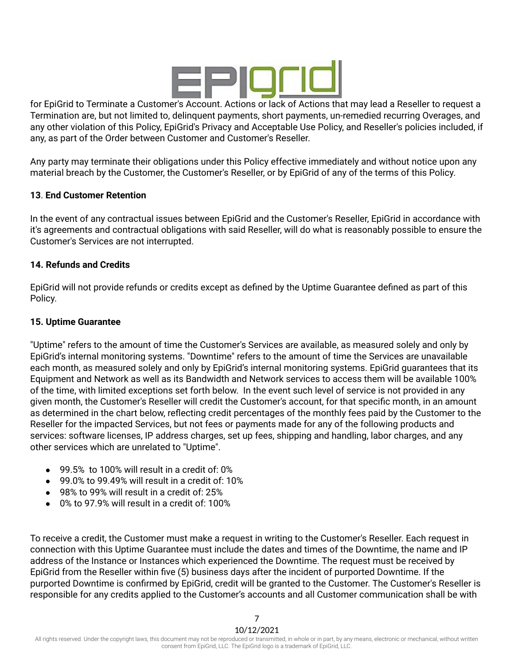

for EpiGrid to Terminate a Customer's Account. Actions or lack of Actions that may lead a Reseller to request a Termination are, but not limited to, delinquent payments, short payments, un-remedied recurring Overages, and any other violation of this Policy, EpiGrid's Privacy and Acceptable Use Policy, and Reseller's policies included, if any, as part of the Order between Customer and Customer's Reseller.

Any party may terminate their obligations under this Policy effective immediately and without notice upon any material breach by the Customer, the Customer's Reseller, or by EpiGrid of any of the terms of this Policy.

## **13**. **End Customer Retention**

In the event of any contractual issues between EpiGrid and the Customer's Reseller, EpiGrid in accordance with it's agreements and contractual obligations with said Reseller, will do what is reasonably possible to ensure the Customer's Services are not interrupted.

#### **14. Refunds and Credits**

EpiGrid will not provide refunds or credits except as defined by the Uptime Guarantee defined as part of this Policy.

#### **15. Uptime Guarantee**

"Uptime" refers to the amount of time the Customer's Services are available, as measured solely and only by EpiGrid's internal monitoring systems. "Downtime" refers to the amount of time the Services are unavailable each month, as measured solely and only by EpiGrid's internal monitoring systems. EpiGrid guarantees that its Equipment and Network as well as its Bandwidth and Network services to access them will be available 100% of the time, with limited exceptions set forth below. In the event such level of service is not provided in any given month, the Customer's Reseller will credit the Customer's account, for that specific month, in an amount as determined in the chart below, reflecting credit percentages of the monthly fees paid by the Customer to the Reseller for the impacted Services, but not fees or payments made for any of the following products and services: software licenses, IP address charges, set up fees, shipping and handling, labor charges, and any other services which are unrelated to "Uptime".

- 99.5% to 100% will result in a credit of: 0%
- $\bullet$  99.0% to 99.49% will result in a credit of: 10%
- 98% to 99% will result in a credit of: 25%
- 0% to 97.9% will result in a credit of: 100%

To receive a credit, the Customer must make a request in writing to the Customer's Reseller. Each request in connection with this Uptime Guarantee must include the dates and times of the Downtime, the name and IP address of the Instance or Instances which experienced the Downtime. The request must be received by EpiGrid from the Reseller within five (5) business days after the incident of purported Downtime. If the purported Downtime is confirmed by EpiGrid, credit will be granted to the Customer. The Customer's Reseller is responsible for any credits applied to the Customer's accounts and all Customer communication shall be with

### 10/12/2021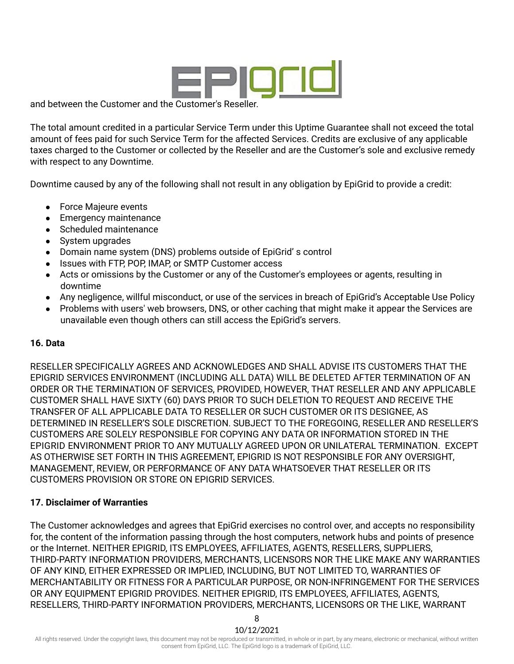

and between the Customer and the Customer's Reseller.

The total amount credited in a particular Service Term under this Uptime Guarantee shall not exceed the total amount of fees paid for such Service Term for the affected Services. Credits are exclusive of any applicable taxes charged to the Customer or collected by the Reseller and are the Customer's sole and exclusive remedy with respect to any Downtime.

Downtime caused by any of the following shall not result in any obligation by EpiGrid to provide a credit:

- Force Majeure events
- Emergency maintenance
- Scheduled maintenance
- System upgrades
- Domain name system (DNS) problems outside of EpiGrid' s control
- Issues with FTP, POP, IMAP, or SMTP Customer access
- Acts or omissions by the Customer or any of the Customer's employees or agents, resulting in downtime
- Any negligence, willful misconduct, or use of the services in breach of EpiGrid's Acceptable Use Policy
- Problems with users' web browsers, DNS, or other caching that might make it appear the Services are unavailable even though others can still access the EpiGrid's servers.

## **16. Data**

RESELLER SPECIFICALLY AGREES AND ACKNOWLEDGES AND SHALL ADVISE ITS CUSTOMERS THAT THE EPIGRID SERVICES ENVIRONMENT (INCLUDING ALL DATA) WILL BE DELETED AFTER TERMINATION OF AN ORDER OR THE TERMINATION OF SERVICES, PROVIDED, HOWEVER, THAT RESELLER AND ANY APPLICABLE CUSTOMER SHALL HAVE SIXTY (60) DAYS PRIOR TO SUCH DELETION TO REQUEST AND RECEIVE THE TRANSFER OF ALL APPLICABLE DATA TO RESELLER OR SUCH CUSTOMER OR ITS DESIGNEE, AS DETERMINED IN RESELLER'S SOLE DISCRETION. SUBJECT TO THE FOREGOING, RESELLER AND RESELLER'S CUSTOMERS ARE SOLELY RESPONSIBLE FOR COPYING ANY DATA OR INFORMATION STORED IN THE EPIGRID ENVIRONMENT PRIOR TO ANY MUTUALLY AGREED UPON OR UNILATERAL TERMINATION. EXCEPT AS OTHERWISE SET FORTH IN THIS AGREEMENT, EPIGRID IS NOT RESPONSIBLE FOR ANY OVERSIGHT, MANAGEMENT, REVIEW, OR PERFORMANCE OF ANY DATA WHATSOEVER THAT RESELLER OR ITS CUSTOMERS PROVISION OR STORE ON EPIGRID SERVICES.

#### **17. Disclaimer of Warranties**

The Customer acknowledges and agrees that EpiGrid exercises no control over, and accepts no responsibility for, the content of the information passing through the host computers, network hubs and points of presence or the Internet. NEITHER EPIGRID, ITS EMPLOYEES, AFFILIATES, AGENTS, RESELLERS, SUPPLIERS, THIRD-PARTY INFORMATION PROVIDERS, MERCHANTS, LICENSORS NOR THE LIKE MAKE ANY WARRANTIES OF ANY KIND, EITHER EXPRESSED OR IMPLIED, INCLUDING, BUT NOT LIMITED TO, WARRANTIES OF MERCHANTABILITY OR FITNESS FOR A PARTICULAR PURPOSE, OR NON-INFRINGEMENT FOR THE SERVICES OR ANY EQUIPMENT EPIGRID PROVIDES. NEITHER EPIGRID, ITS EMPLOYEES, AFFILIATES, AGENTS, RESELLERS, THIRD-PARTY INFORMATION PROVIDERS, MERCHANTS, LICENSORS OR THE LIKE, WARRANT

8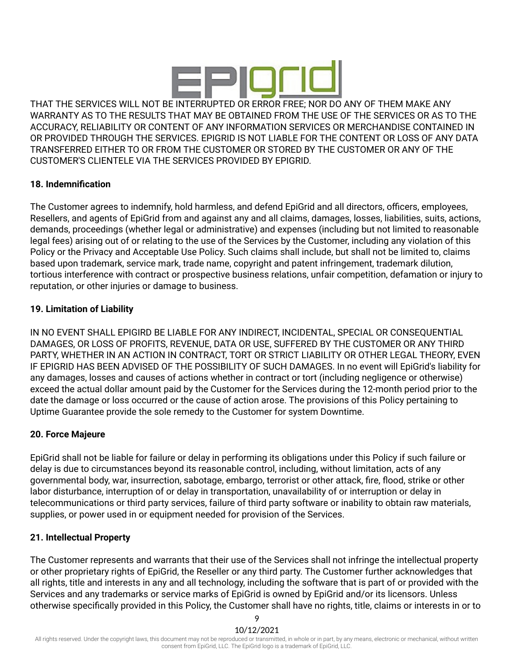

THAT THE SERVICES WILL NOT BE INTERRUPTED OR ERROR FREE; NOR DO ANY OF THEM MAKE ANY WARRANTY AS TO THE RESULTS THAT MAY BE OBTAINED FROM THE USE OF THE SERVICES OR AS TO THE ACCURACY, RELIABILITY OR CONTENT OF ANY INFORMATION SERVICES OR MERCHANDISE CONTAINED IN OR PROVIDED THROUGH THE SERVICES. EPIGRID IS NOT LIABLE FOR THE CONTENT OR LOSS OF ANY DATA TRANSFERRED EITHER TO OR FROM THE CUSTOMER OR STORED BY THE CUSTOMER OR ANY OF THE CUSTOMER'S CLIENTELE VIA THE SERVICES PROVIDED BY EPIGRID.

## **18. Indemnification**

The Customer agrees to indemnify, hold harmless, and defend EpiGrid and all directors, officers, employees, Resellers, and agents of EpiGrid from and against any and all claims, damages, losses, liabilities, suits, actions, demands, proceedings (whether legal or administrative) and expenses (including but not limited to reasonable legal fees) arising out of or relating to the use of the Services by the Customer, including any violation of this Policy or the Privacy and Acceptable Use Policy. Such claims shall include, but shall not be limited to, claims based upon trademark, service mark, trade name, copyright and patent infringement, trademark dilution, tortious interference with contract or prospective business relations, unfair competition, defamation or injury to reputation, or other injuries or damage to business.

## **19. Limitation of Liability**

IN NO EVENT SHALL EPIGIRD BE LIABLE FOR ANY INDIRECT, INCIDENTAL, SPECIAL OR CONSEQUENTIAL DAMAGES, OR LOSS OF PROFITS, REVENUE, DATA OR USE, SUFFERED BY THE CUSTOMER OR ANY THIRD PARTY, WHETHER IN AN ACTION IN CONTRACT, TORT OR STRICT LIABILITY OR OTHER LEGAL THEORY, EVEN IF EPIGRID HAS BEEN ADVISED OF THE POSSIBILITY OF SUCH DAMAGES. In no event will EpiGrid's liability for any damages, losses and causes of actions whether in contract or tort (including negligence or otherwise) exceed the actual dollar amount paid by the Customer for the Services during the 12-month period prior to the date the damage or loss occurred or the cause of action arose. The provisions of this Policy pertaining to Uptime Guarantee provide the sole remedy to the Customer for system Downtime.

#### **20. Force Majeure**

EpiGrid shall not be liable for failure or delay in performing its obligations under this Policy if such failure or delay is due to circumstances beyond its reasonable control, including, without limitation, acts of any governmental body, war, insurrection, sabotage, embargo, terrorist or other attack, fire, flood, strike or other labor disturbance, interruption of or delay in transportation, unavailability of or interruption or delay in telecommunications or third party services, failure of third party software or inability to obtain raw materials, supplies, or power used in or equipment needed for provision of the Services.

#### **21. Intellectual Property**

The Customer represents and warrants that their use of the Services shall not infringe the intellectual property or other proprietary rights of EpiGrid, the Reseller or any third party. The Customer further acknowledges that all rights, title and interests in any and all technology, including the software that is part of or provided with the Services and any trademarks or service marks of EpiGrid is owned by EpiGrid and/or its licensors. Unless otherwise specifically provided in this Policy, the Customer shall have no rights, title, claims or interests in or to

9